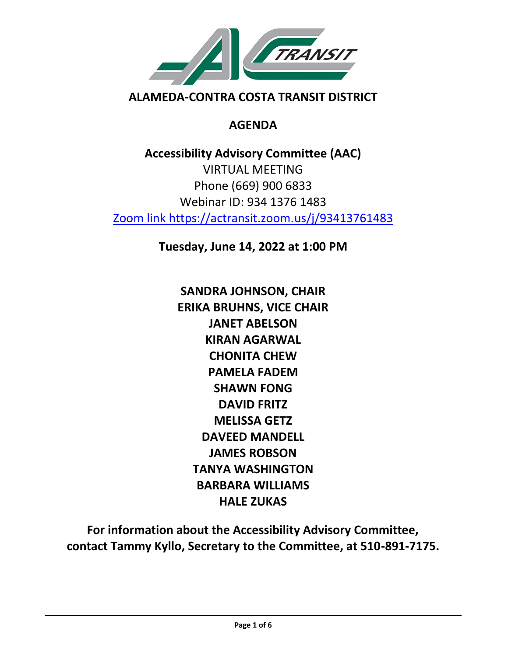

# **AGENDA**

**Accessibility Advisory Committee (AAC)** VIRTUAL MEETING Phone (669) 900 6833 Webinar ID: 934 1376 1483 Zoom link https://actransit.zoom.us/j/93413761483

**Tuesday, June 14, 2022 at 1:00 PM**

**SANDRA JOHNSON, CHAIR ERIKA BRUHNS, VICE CHAIR JANET ABELSON KIRAN AGARWAL CHONITA CHEW PAMELA FADEM SHAWN FONG DAVID FRITZ MELISSA GETZ DAVEED MANDELL JAMES ROBSON TANYA WASHINGTON BARBARA WILLIAMS HALE ZUKAS**

**For information about the Accessibility Advisory Committee, contact Tammy Kyllo, Secretary to the Committee, at 510-891-7175.**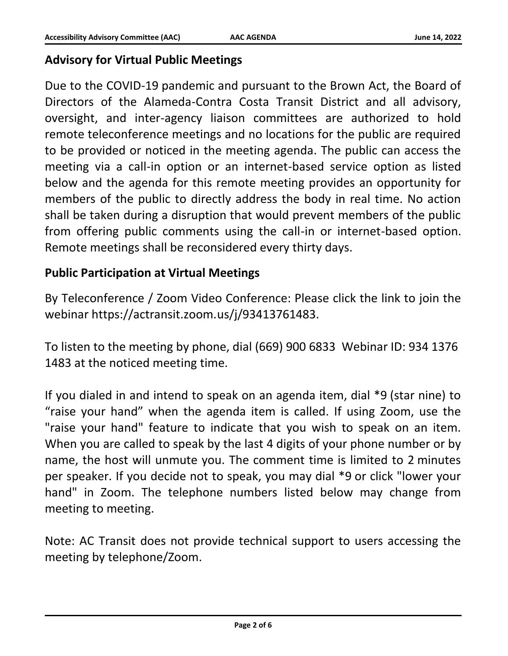## **Advisory for Virtual Public Meetings**

Due to the COVID-19 pandemic and pursuant to the Brown Act, the Board of Directors of the Alameda-Contra Costa Transit District and all advisory, oversight, and inter-agency liaison committees are authorized to hold remote teleconference meetings and no locations for the public are required to be provided or noticed in the meeting agenda. The public can access the meeting via a call-in option or an internet-based service option as listed below and the agenda for this remote meeting provides an opportunity for members of the public to directly address the body in real time. No action shall be taken during a disruption that would prevent members of the public from offering public comments using the call-in or internet-based option. Remote meetings shall be reconsidered every thirty days.

### **Public Participation at Virtual Meetings**

By Teleconference / Zoom Video Conference: Please click the link to join the webinar https://actransit.zoom.us/j/93413761483.

To listen to the meeting by phone, dial (669) 900 6833 Webinar ID: 934 1376 1483 at the noticed meeting time.

If you dialed in and intend to speak on an agenda item, dial \*9 (star nine) to "raise your hand" when the agenda item is called. If using Zoom, use the "raise your hand" feature to indicate that you wish to speak on an item. When you are called to speak by the last 4 digits of your phone number or by name, the host will unmute you. The comment time is limited to 2 minutes per speaker. If you decide not to speak, you may dial \*9 or click "lower your hand" in Zoom. The telephone numbers listed below may change from meeting to meeting.

Note: AC Transit does not provide technical support to users accessing the meeting by telephone/Zoom.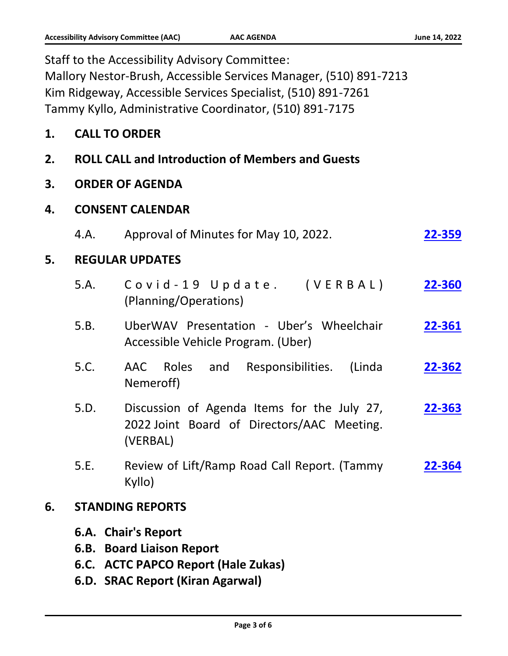|    |                                                         | Staff to the Accessibility Advisory Committee:<br>Mallory Nestor-Brush, Accessible Services Manager, (510) 891-7213<br>Kim Ridgeway, Accessible Services Specialist, (510) 891-7261<br>Tammy Kyllo, Administrative Coordinator, (510) 891-7175 |        |
|----|---------------------------------------------------------|------------------------------------------------------------------------------------------------------------------------------------------------------------------------------------------------------------------------------------------------|--------|
| 1. | <b>CALL TO ORDER</b>                                    |                                                                                                                                                                                                                                                |        |
| 2. |                                                         | <b>ROLL CALL and Introduction of Members and Guests</b>                                                                                                                                                                                        |        |
| 3. |                                                         | <b>ORDER OF AGENDA</b>                                                                                                                                                                                                                         |        |
| 4. | <b>CONSENT CALENDAR</b>                                 |                                                                                                                                                                                                                                                |        |
|    | 4.A.                                                    | Approval of Minutes for May 10, 2022.                                                                                                                                                                                                          | 22-359 |
| 5. | <b>REGULAR UPDATES</b>                                  |                                                                                                                                                                                                                                                |        |
|    | 5.A.                                                    | Covid-19 Update. (VERBAL)<br>(Planning/Operations)                                                                                                                                                                                             | 22-360 |
|    | 5.B.                                                    | UberWAV Presentation - Uber's Wheelchair<br>Accessible Vehicle Program. (Uber)                                                                                                                                                                 | 22-361 |
|    | 5.C.                                                    | AAC<br>Roles<br>and<br>Responsibilities.<br>(Linda<br>Nemeroff)                                                                                                                                                                                | 22-362 |
|    | 5.D.                                                    | Discussion of Agenda Items for the July 27,<br>2022 Joint Board of Directors/AAC Meeting.<br>(VERBAL)                                                                                                                                          | 22-363 |
|    | 5.E.                                                    | Review of Lift/Ramp Road Call Report. (Tammy<br>Kyllo)                                                                                                                                                                                         | 22-364 |
| 6. |                                                         | <b>STANDING REPORTS</b>                                                                                                                                                                                                                        |        |
|    | 6.A. Chair's Report<br><b>6.B. Board Liaison Report</b> |                                                                                                                                                                                                                                                |        |

- **6.C. ACTC PAPCO Report (Hale Zukas)**
- **6.D. SRAC Report (Kiran Agarwal)**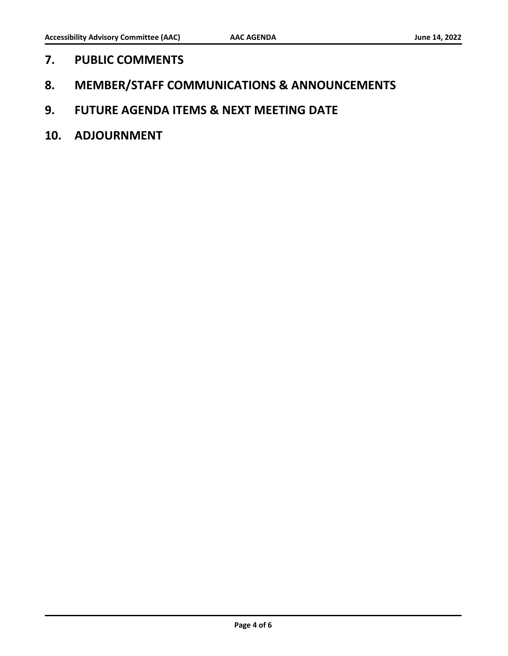- **7. PUBLIC COMMENTS**
- **8. MEMBER/STAFF COMMUNICATIONS & ANNOUNCEMENTS**
- **9. FUTURE AGENDA ITEMS & NEXT MEETING DATE**
- **10. ADJOURNMENT**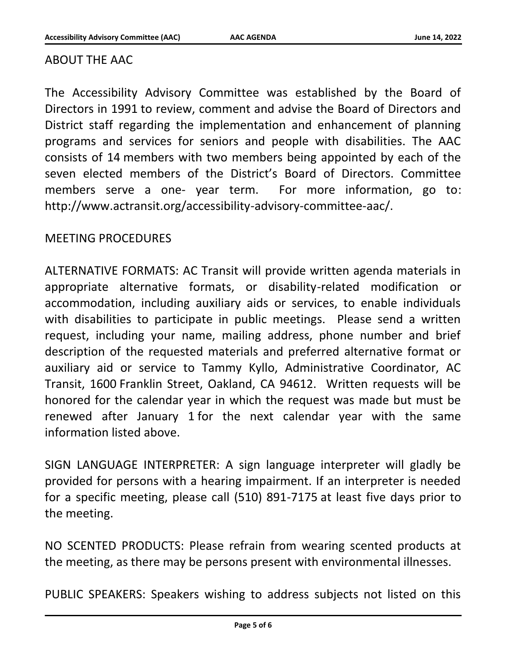#### ABOUT THE AAC

The Accessibility Advisory Committee was established by the Board of Directors in 1991 to review, comment and advise the Board of Directors and District staff regarding the implementation and enhancement of planning programs and services for seniors and people with disabilities. The AAC consists of 14 members with two members being appointed by each of the seven elected members of the District's Board of Directors. Committee members serve a one- year term. For more information, go to: http://www.actransit.org/accessibility-advisory-committee-aac/.

#### MEETING PROCEDURES

ALTERNATIVE FORMATS: AC Transit will provide written agenda materials in appropriate alternative formats, or disability-related modification or accommodation, including auxiliary aids or services, to enable individuals with disabilities to participate in public meetings. Please send a written request, including your name, mailing address, phone number and brief description of the requested materials and preferred alternative format or auxiliary aid or service to Tammy Kyllo, Administrative Coordinator, AC Transit, 1600 Franklin Street, Oakland, CA 94612. Written requests will be honored for the calendar year in which the request was made but must be renewed after January 1 for the next calendar year with the same information listed above.

SIGN LANGUAGE INTERPRETER: A sign language interpreter will gladly be provided for persons with a hearing impairment. If an interpreter is needed for a specific meeting, please call (510) 891-7175 at least five days prior to the meeting.

NO SCENTED PRODUCTS: Please refrain from wearing scented products at the meeting, as there may be persons present with environmental illnesses.

PUBLIC SPEAKERS: Speakers wishing to address subjects not listed on this